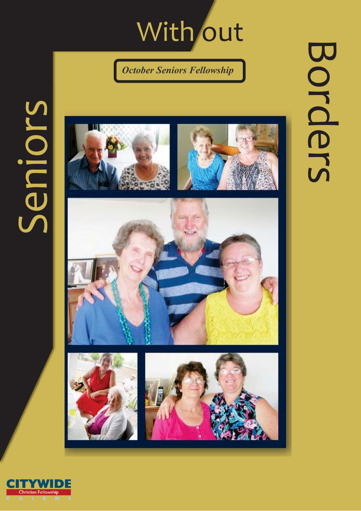## With out

**October Seniors Fellowship** 

## Seniors







F

Christian Fellowship



## Borders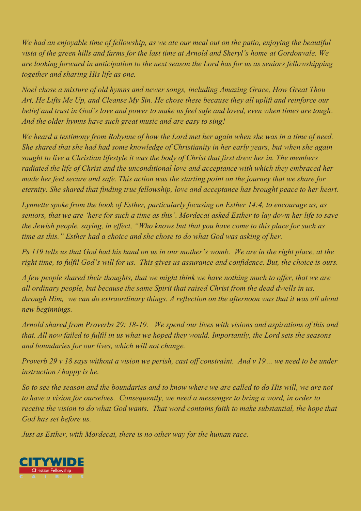We had an enjoyable time of fellowship, as we ate our meal out on the patio, enjoying the beautiful vista of the green hills and farms for the last time at Arnold and Sheryl's home at Gordonvale. We are looking forward in anticipation to the next season the Lord has for us as seniors fellowshipping together and sharing His life as one.

Noel chose a mixture of old hymns and newer songs, including Amazing Grace, How Great Thou Art, He Lifts Me Up, and Cleanse My Sin. He chose these because they all uplift and reinforce our belief and trust in God's love and power to make us feel safe and loved, even when times are tough. And the older hymns have such great music and are easy to sing!

We heard a testimony from Robynne of how the Lord met her again when she was in a time of need. She shared that she had had some knowledge of Christianity in her early years, but when she again sought to live a Christian lifestyle it was the body of Christ that first drew her in. The members radiated the life of Christ and the unconditional love and acceptance with which they embraced her made her feel secure and safe. This action was the starting point on the journey that we share for eternity. She shared that finding true fellowship, love and acceptance has brought peace to her heart.

Lynnette spoke from the book of Esther, particularly focusing on Esther 14:4, to encourage us, as seniors, that we are 'here for such a time as this'. Mordecai asked Esther to lay down her life to save the Jewish people, saying, in effect, "Who knows but that you have come to this place for such as time as this." Esther had a choice and she chose to do what God was asking of her.

Ps 119 tells us that God had his hand on us in our mother's womb. We are in the right place, at the right time, to fulfil God's will for us. This gives us assurance and confidence. But, the choice is ours.

A few people shared their thoughts, that we might think we have nothing much to offer, that we are all ordinary people, but because the same Spirit that raised Christ from the dead dwells in us, through Him, we can do extraordinary things. A reflection on the afternoon was that it was all about new beginnings.

Arnold shared from Proverbs 29: 18-19. We spend our lives with visions and aspirations of this and that. All now failed to fulfil in us what we hoped they would. Importantly, the Lord sets the seasons and boundaries for our lives, which will not change.

Proverb 29 v 18 says without a vision we perish, cast off constraint. And v 19... we need to be under instruction / happy is he.

So to see the season and the boundaries and to know where we are called to do His will, we are not to have a vision for ourselves. Consequently, we need a messenger to bring a word, in order to receive the vision to do what God wants. That word contains faith to make substantial, the hope that God has set before us.

Just as Esther, with Mordecai, there is no other way for the human race.

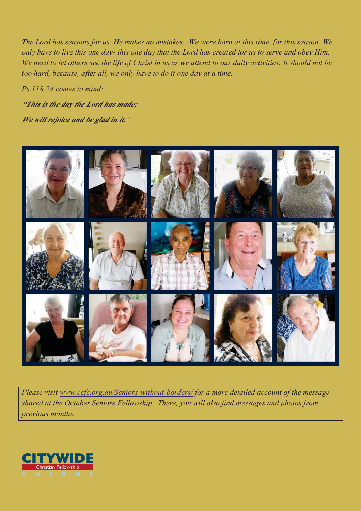The Lord has seasons for us. He makes no mistakes. We were born at this time, for this season. We only have to live this one day- this one day that the Lord has created for us to serve and obey Him. We need to let others see the life of Christ in us as we attend to our daily activities. It should not be too hard, because, after all, we only have to do it one day at a time.

Ps 118:24 comes to mind: **"This is the day the Lord has made;** 

**We will rejoice and be glad in it.**"



Please visit www.ccfc.org.au/Seniors-without-borders/ for a more detailed account of the message shared at the October Seniors Fellowship. There, you will also find messages and photos from previous months.